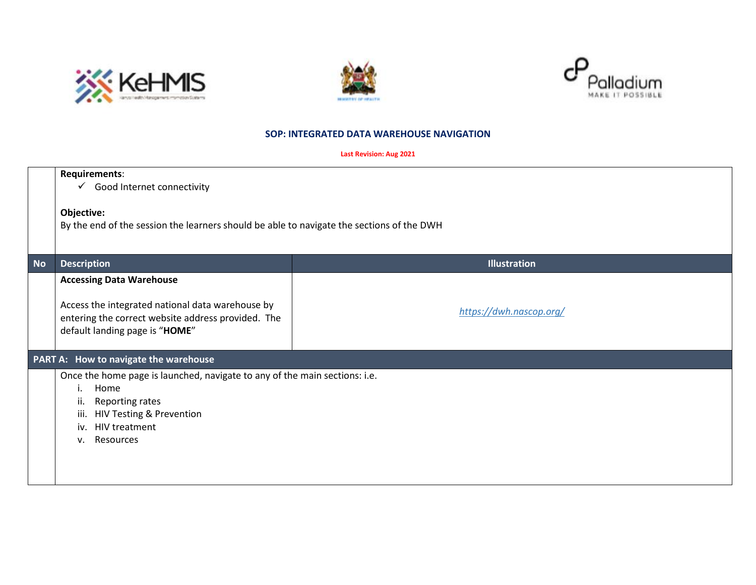





## **SOP: INTEGRATED DATA WAREHOUSE NAVIGATION**

| <b>Last Revision: Aug 2021</b> |
|--------------------------------|
|--------------------------------|

|           | Requirements:                                                                                                                                                                                  |                         |
|-----------|------------------------------------------------------------------------------------------------------------------------------------------------------------------------------------------------|-------------------------|
|           | $\checkmark$ Good Internet connectivity                                                                                                                                                        |                         |
|           | Objective:<br>By the end of the session the learners should be able to navigate the sections of the DWH                                                                                        |                         |
| <b>No</b> | <b>Description</b>                                                                                                                                                                             | <b>Illustration</b>     |
|           | <b>Accessing Data Warehouse</b><br>Access the integrated national data warehouse by<br>entering the correct website address provided. The<br>default landing page is "HOME"                    | https://dwh.nascop.org/ |
|           | PART A: How to navigate the warehouse                                                                                                                                                          |                         |
|           | Once the home page is launched, navigate to any of the main sections: i.e.<br>Home<br>İ.<br>Reporting rates<br>ii.<br>HIV Testing & Prevention<br>iii.<br>iv. HIV treatment<br>Resources<br>v. |                         |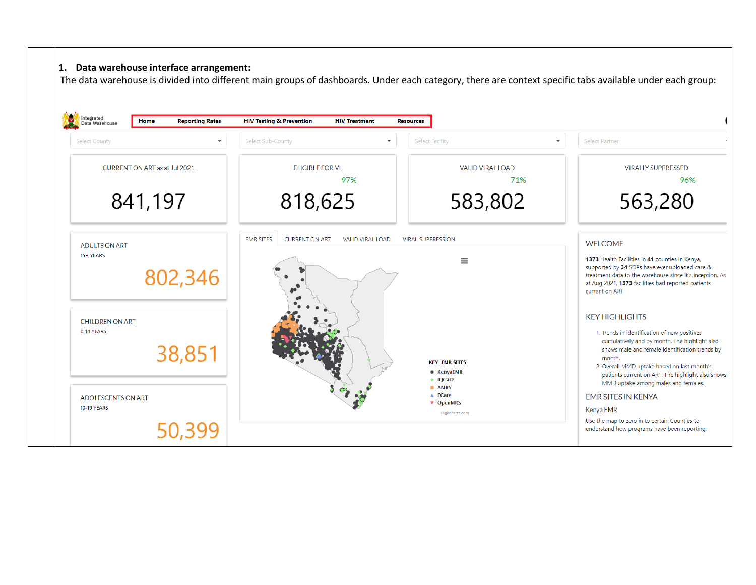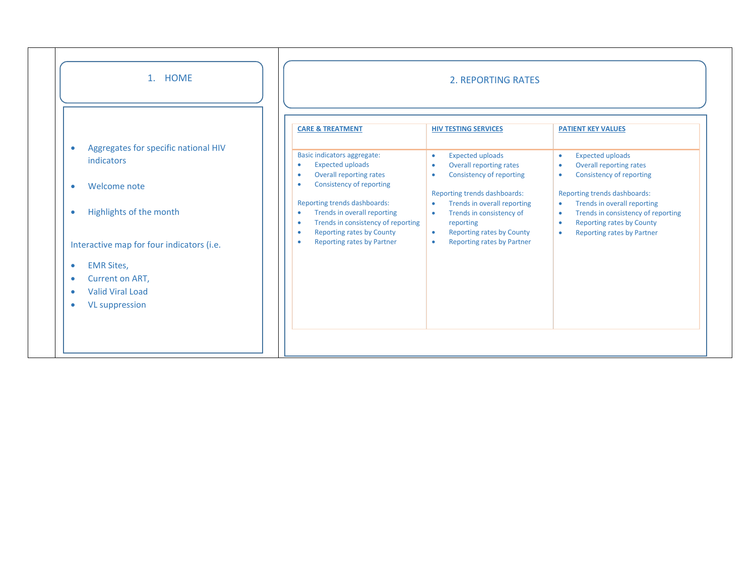| 1. HOME                                                                                                                                                                                                                                             |                                                                                                                                                                                                                                                                                                                                                                                                                              | <b>2. REPORTING RATES</b>                                                                                                                                                                                                                                                                                                                    |                                                                                                                                                                                                                                                                                                                                                                                             |  |  |
|-----------------------------------------------------------------------------------------------------------------------------------------------------------------------------------------------------------------------------------------------------|------------------------------------------------------------------------------------------------------------------------------------------------------------------------------------------------------------------------------------------------------------------------------------------------------------------------------------------------------------------------------------------------------------------------------|----------------------------------------------------------------------------------------------------------------------------------------------------------------------------------------------------------------------------------------------------------------------------------------------------------------------------------------------|---------------------------------------------------------------------------------------------------------------------------------------------------------------------------------------------------------------------------------------------------------------------------------------------------------------------------------------------------------------------------------------------|--|--|
| Aggregates for specific national HIV<br>$\bullet$<br>indicators<br>Welcome note<br>$\bullet$<br>Highlights of the month<br>$\bullet$<br>Interactive map for four indicators (i.e.<br><b>EMR Sites,</b><br>$\bullet$<br>Current on ART,<br>$\bullet$ | <b>CARE &amp; TREATMENT</b><br>Basic indicators aggregate:<br><b>Expected uploads</b><br>$\bullet$<br><b>Overall reporting rates</b><br>$\bullet$<br>Consistency of reporting<br>$\bullet$<br>Reporting trends dashboards:<br>Trends in overall reporting<br>$\bullet$<br>Trends in consistency of reporting<br>$\bullet$<br><b>Reporting rates by County</b><br>$\bullet$<br><b>Reporting rates by Partner</b><br>$\bullet$ | <b>HIV TESTING SERVICES</b><br><b>Expected uploads</b><br>۰<br>Overall reporting rates<br><b>Consistency of reporting</b><br>۰<br>Reporting trends dashboards:<br>Trends in overall reporting<br>٠<br>Trends in consistency of<br>$\bullet$<br>reporting<br><b>Reporting rates by County</b><br>$\bullet$<br>Reporting rates by Partner<br>۰ | <b>PATIENT KEY VALUES</b><br><b>Expected uploads</b><br>$\bullet$<br><b>Overall reporting rates</b><br>$\bullet$<br>Consistency of reporting<br>$\bullet$<br>Reporting trends dashboards:<br>Trends in overall reporting<br>$\bullet$<br>Trends in consistency of reporting<br>$\bullet$<br><b>Reporting rates by County</b><br>$\bullet$<br><b>Reporting rates by Partner</b><br>$\bullet$ |  |  |
| <b>Valid Viral Load</b><br>$\bullet$<br><b>VL suppression</b><br>$\bullet$                                                                                                                                                                          |                                                                                                                                                                                                                                                                                                                                                                                                                              |                                                                                                                                                                                                                                                                                                                                              |                                                                                                                                                                                                                                                                                                                                                                                             |  |  |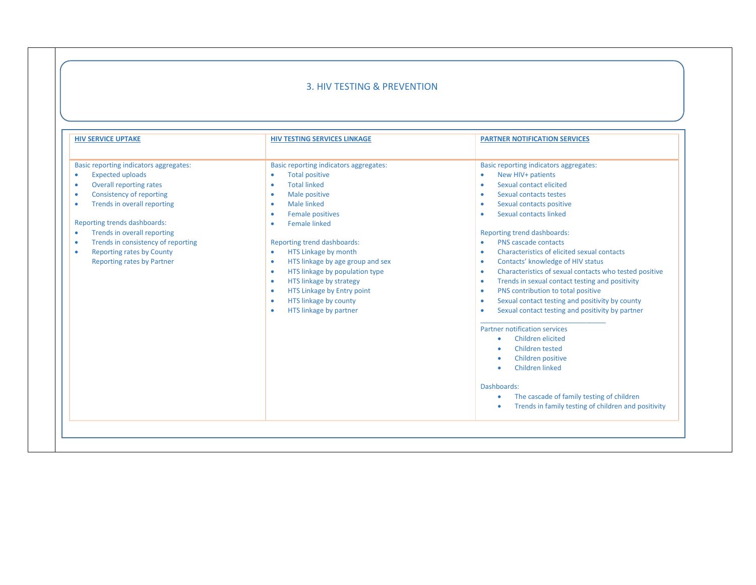# 3. HIV TESTING & PREVENTION

| <b>HIV SERVICE UPTAKE</b>                                                                                                                                                                                                                                                                                                                                                                                                     | <b>HIV TESTING SERVICES LINKAGE</b>                                                                                                                                                                                                                                                                                                                                                                                                                                                                                                | <b>PARTNER NOTIFICATION SERVICES</b>                                                                                                                                                                                                                                                                                                                                                                                                                                                                                                                                                                                                                                                                                                                                                                                                                 |
|-------------------------------------------------------------------------------------------------------------------------------------------------------------------------------------------------------------------------------------------------------------------------------------------------------------------------------------------------------------------------------------------------------------------------------|------------------------------------------------------------------------------------------------------------------------------------------------------------------------------------------------------------------------------------------------------------------------------------------------------------------------------------------------------------------------------------------------------------------------------------------------------------------------------------------------------------------------------------|------------------------------------------------------------------------------------------------------------------------------------------------------------------------------------------------------------------------------------------------------------------------------------------------------------------------------------------------------------------------------------------------------------------------------------------------------------------------------------------------------------------------------------------------------------------------------------------------------------------------------------------------------------------------------------------------------------------------------------------------------------------------------------------------------------------------------------------------------|
| <b>Basic reporting indicators aggregates:</b><br><b>Expected uploads</b><br>$\bullet$<br><b>Overall reporting rates</b><br>٠<br><b>Consistency of reporting</b><br>٠<br>Trends in overall reporting<br>٠<br>Reporting trends dashboards:<br>Trends in overall reporting<br>$\bullet$<br>Trends in consistency of reporting<br>$\bullet$<br><b>Reporting rates by County</b><br>$\bullet$<br><b>Reporting rates by Partner</b> | Basic reporting indicators aggregates:<br><b>Total positive</b><br>٠<br><b>Total linked</b><br>٠<br>Male positive<br>٠<br><b>Male linked</b><br>٠<br><b>Female positives</b><br>٠<br><b>Female linked</b><br>٠<br>Reporting trend dashboards:<br>HTS Linkage by month<br>$\bullet$<br>HTS linkage by age group and sex<br>$\bullet$<br>HTS linkage by population type<br>$\bullet$<br>HTS linkage by strategy<br>$\bullet$<br>HTS Linkage by Entry point<br>٠<br>HTS linkage by county<br>$\bullet$<br>HTS linkage by partner<br>٠ | <b>Basic reporting indicators aggregates:</b><br>New HIV+ patients<br>Sexual contact elicited<br>Sexual contacts testes<br>Sexual contacts positive<br>Sexual contacts linked<br>Reporting trend dashboards:<br>PNS cascade contacts<br>Characteristics of elicited sexual contacts<br>Contacts' knowledge of HIV status<br>۰<br>Characteristics of sexual contacts who tested positive<br>٠<br>Trends in sexual contact testing and positivity<br>۰<br>PNS contribution to total positive<br>۰<br>Sexual contact testing and positivity by county<br>۰<br>Sexual contact testing and positivity by partner<br>Partner notification services<br>Children elicited<br>٠<br>Children tested<br>Children positive<br>Children linked<br>Dashboards:<br>The cascade of family testing of children<br>Trends in family testing of children and positivity |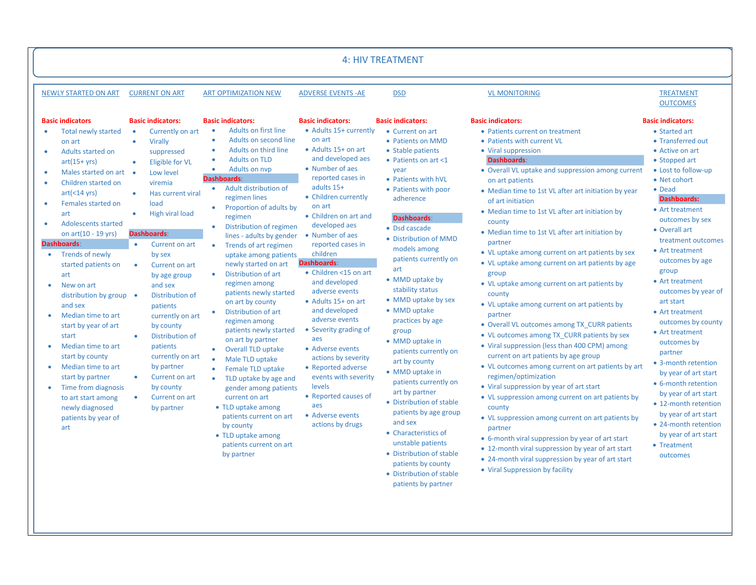|                                                                                                                                                                                                                                                                                                                                                                                                                                                                                                                                                                                                                                                      |                                                                                                                                                                                                                                                                                                                                                                                                                                                                                                                                                                                                                |                                                                                                                                                                                                                                                                                                                                                                                                                                                                                                                                                                                                                                                                                                                                                                                                                                                                                                                                                             |                                                                                                                                                                                                                                                                                                                                                                                                                                                                                                                                                                                                                                                      | <b>4: HIV TREATMENT</b>                                                                                                                                                                                                                                                                                                                                                                                                                                                                                                                                                                                                                                                                                                                                    |                                                                                                                                                                                                                                                                                                                                                                                                                                                                                                                                                                                                                                                                                                                                                                                                                                                                                                                                                                                                                                                                                                                                                                                                                                                                                                                |                                                                                                                                                                                                                                                                                                                                                                                                                                                                                                                                                                                                                                                                             |
|------------------------------------------------------------------------------------------------------------------------------------------------------------------------------------------------------------------------------------------------------------------------------------------------------------------------------------------------------------------------------------------------------------------------------------------------------------------------------------------------------------------------------------------------------------------------------------------------------------------------------------------------------|----------------------------------------------------------------------------------------------------------------------------------------------------------------------------------------------------------------------------------------------------------------------------------------------------------------------------------------------------------------------------------------------------------------------------------------------------------------------------------------------------------------------------------------------------------------------------------------------------------------|-------------------------------------------------------------------------------------------------------------------------------------------------------------------------------------------------------------------------------------------------------------------------------------------------------------------------------------------------------------------------------------------------------------------------------------------------------------------------------------------------------------------------------------------------------------------------------------------------------------------------------------------------------------------------------------------------------------------------------------------------------------------------------------------------------------------------------------------------------------------------------------------------------------------------------------------------------------|------------------------------------------------------------------------------------------------------------------------------------------------------------------------------------------------------------------------------------------------------------------------------------------------------------------------------------------------------------------------------------------------------------------------------------------------------------------------------------------------------------------------------------------------------------------------------------------------------------------------------------------------------|------------------------------------------------------------------------------------------------------------------------------------------------------------------------------------------------------------------------------------------------------------------------------------------------------------------------------------------------------------------------------------------------------------------------------------------------------------------------------------------------------------------------------------------------------------------------------------------------------------------------------------------------------------------------------------------------------------------------------------------------------------|----------------------------------------------------------------------------------------------------------------------------------------------------------------------------------------------------------------------------------------------------------------------------------------------------------------------------------------------------------------------------------------------------------------------------------------------------------------------------------------------------------------------------------------------------------------------------------------------------------------------------------------------------------------------------------------------------------------------------------------------------------------------------------------------------------------------------------------------------------------------------------------------------------------------------------------------------------------------------------------------------------------------------------------------------------------------------------------------------------------------------------------------------------------------------------------------------------------------------------------------------------------------------------------------------------------|-----------------------------------------------------------------------------------------------------------------------------------------------------------------------------------------------------------------------------------------------------------------------------------------------------------------------------------------------------------------------------------------------------------------------------------------------------------------------------------------------------------------------------------------------------------------------------------------------------------------------------------------------------------------------------|
| <b>NEWLY STARTED ON ART</b>                                                                                                                                                                                                                                                                                                                                                                                                                                                                                                                                                                                                                          | <b>CURRENT ON ART</b>                                                                                                                                                                                                                                                                                                                                                                                                                                                                                                                                                                                          | <b>ART OPTIMIZATION NEW</b>                                                                                                                                                                                                                                                                                                                                                                                                                                                                                                                                                                                                                                                                                                                                                                                                                                                                                                                                 | <b>ADVERSE EVENTS - AE</b>                                                                                                                                                                                                                                                                                                                                                                                                                                                                                                                                                                                                                           | <b>DSD</b>                                                                                                                                                                                                                                                                                                                                                                                                                                                                                                                                                                                                                                                                                                                                                 | <b>VL MONITORING</b>                                                                                                                                                                                                                                                                                                                                                                                                                                                                                                                                                                                                                                                                                                                                                                                                                                                                                                                                                                                                                                                                                                                                                                                                                                                                                           | <b>TREATMENT</b><br><b>OUTCOMES</b>                                                                                                                                                                                                                                                                                                                                                                                                                                                                                                                                                                                                                                         |
| <b>Basic indicators</b><br><b>Total newly started</b><br>on art<br>Adults started on<br>$art(15+vrs)$<br>Males started on art<br>×<br>Children started on<br>art(<14 yrs)<br>Females started on<br>٠<br>art<br><b>Adolescents started</b><br>on $art(10 - 19$ yrs)<br><b>Dashboards:</b><br>• Trends of newly<br>started patients on<br>art<br>New on art<br>distribution by group •<br>and sex<br>Median time to art<br>start by year of art<br>start<br>Median time to art<br>$\bullet$<br>start by county<br>Median time to art<br>start by partner<br>Time from diagnosis<br>to art start among<br>newly diagnosed<br>patients by year of<br>art | <b>Basic indicators:</b><br>Currently on art<br>$\bullet$<br>Virally<br>$\bullet$<br>suppressed<br>Eligible for VL<br>$\bullet$<br>Low level<br>$\bullet$<br>viremia<br>Has current viral<br>$\bullet$<br>load<br>High viral load<br>$\bullet$<br><b>Dashboards:</b><br>$\bullet$<br>Current on art<br>by sex<br>$\bullet$<br>Current on art<br>by age group<br>and sex<br>Distribution of<br>patients<br>currently on art<br>by county<br>Distribution of<br>$\bullet$<br>patients<br>currently on art<br>by partner<br>Current on art<br>$\bullet$<br>by county<br>Current on art<br>$\bullet$<br>by partner | <b>Basic indicators:</b><br>Adults on first line<br>٠<br>Adults on second line<br>$\bullet$<br>Adults on third line<br>٠<br><b>Adults on TLD</b><br>$\bullet$<br>Adults on nyp<br>٠<br><b>Dashboards:</b><br>Adult distribution of<br>$\bullet$<br>regimen lines<br>Proportion of adults by<br>regimen<br>Distribution of regimen<br>$\bullet$<br>lines - adults by gender<br>Trends of art regimen<br>$\bullet$<br>uptake among patients<br>newly started on art<br>Distribution of art<br>$\bullet$<br>regimen among<br>patients newly started<br>on art by county<br>Distribution of art<br>regimen among<br>patients newly started<br>on art by partner<br>$\bullet$<br><b>Overall TLD uptake</b><br>Male TLD uptake<br>$\bullet$<br>Female TLD uptake<br>TLD uptake by age and<br>gender among patients<br>current on art<br>• TLD uptake among<br>patients current on art<br>by county<br>• TLD uptake among<br>patients current on art<br>by partner | <b>Basic indicators:</b><br>• Adults 15+ currently<br>on art<br>• Adults 15+ on art<br>and developed aes<br>• Number of aes<br>reported cases in<br>adults 15+<br>• Children currently<br>on art<br>• Children on art and<br>developed aes<br>• Number of aes<br>reported cases in<br>children<br><b>Dashboards:</b><br>• Children <15 on art<br>and developed<br>adverse events<br>• Adults 15+ on art<br>and developed<br>adverse events<br>• Severity grading of<br>aes<br>• Adverse events<br>actions by severity<br>• Reported adverse<br>events with severity<br>levels<br>• Reported causes of<br>aes<br>• Adverse events<br>actions by drugs | <b>Basic indicators:</b><br>• Current on art<br>• Patients on MMD<br>• Stable patients<br>• Patients on art <1<br>year<br>• Patients with hVL<br>• Patients with poor<br>adherence<br><b>Dashboards:</b><br>• Dsd cascade<br>• Distribution of MMD<br>models among<br>patients currently on<br>art<br>• MMD uptake by<br>stability status<br>• MMD uptake by sex<br>• MMD uptake<br>practices by age<br>group<br>• MMD uptake in<br>patients currently on<br>art by county<br>• MMD uptake in<br>patients currently on<br>art by partner<br>• Distribution of stable<br>patients by age group<br>and sex<br>• Characteristics of<br>unstable patients<br>• Distribution of stable<br>patients by county<br>• Distribution of stable<br>patients by partner | <b>Basic indicators:</b><br>• Patients current on treatment<br>• Patients with current VL<br>• Viral suppression<br><b>Dashboards:</b><br>• Overall VL uptake and suppression among current<br>on art patients<br>• Median time to 1st VL after art initiation by year<br>of art initiation<br>• Median time to 1st VL after art initiation by<br>county<br>• Median time to 1st VL after art initiation by<br>partner<br>• VL uptake among current on art patients by sex<br>• VL uptake among current on art patients by age<br>group<br>• VL uptake among current on art patients by<br>county<br>• VL uptake among current on art patients by<br>partner<br>• Overall VL outcomes among TX CURR patients<br>• VL outcomes among TX CURR patients by sex<br>• Viral suppression (less than 400 CPM) among<br>current on art patients by age group<br>• VL outcomes among current on art patients by art<br>regimen/optimization<br>• Viral suppression by year of art start<br>• VL suppression among current on art patients by<br>county<br>• VL suppression among current on art patients by<br>partner<br>• 6-month viral suppression by year of art start<br>• 12-month viral suppression by year of art start<br>• 24-month viral suppression by year of art start<br>• Viral Suppression by facility | <b>Basic indicators:</b><br>• Started art<br>• Transferred out<br>• Active on art<br>• Stopped art<br>• Lost to follow-up<br>• Net cohort<br>• Dead<br><b>Dashboards:</b><br>• Art treatment<br>outcomes by sex<br>• Overall art<br>treatment outcomes<br>• Art treatment<br>outcomes by age<br>group<br>• Art treatment<br>outcomes by year of<br>art start<br>• Art treatment<br>outcomes by county<br>• Art treatment<br>outcomes by<br>partner<br>• 3-month retention<br>by year of art start<br>• 6-month retention<br>by year of art start<br>• 12-month retention<br>by year of art start<br>• 24-month retention<br>by year of art start<br>• Treatment<br>outcomes |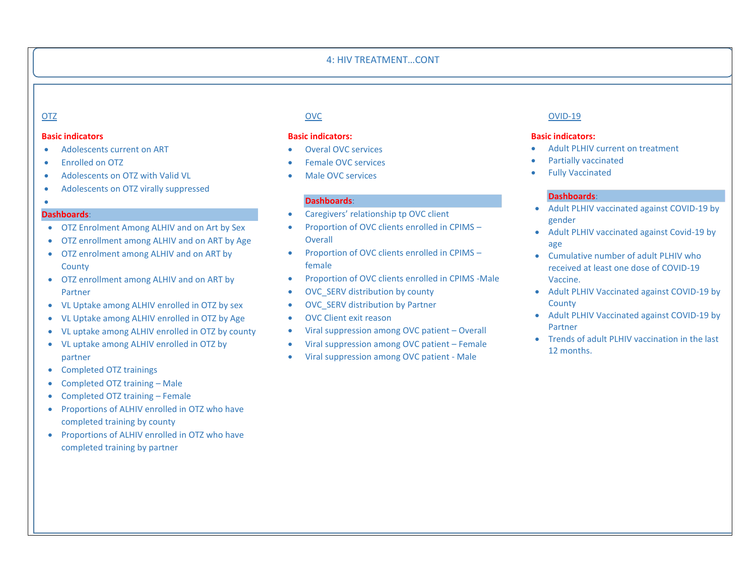### 4: HIV TREATMENT…CONT

#### **Basic indicators**

- Adolescents current on ART
- Enrolled on OTZ
- Adolescents on OTZ with Valid VL
- Adolescents on OTZ virally suppressed

#### • **Dashboards**:

- OTZ Enrolment Among ALHIV and on Art by Sex
- OTZ enrollment among ALHIV and on ART by Age
- OTZ enrolment among ALHIV and on ART by **County**
- OTZ enrollment among ALHIV and on ART by Partner
- VL Uptake among ALHIV enrolled in OTZ by sex
- VL Uptake among ALHIV enrolled in OTZ by Age
- VL uptake among ALHIV enrolled in OTZ by county
- VL uptake among ALHIV enrolled in OTZ by partner
- Completed OTZ trainings
- Completed OTZ training Male
- Completed OTZ training Female
- Proportions of ALHIV enrolled in OTZ who have completed training by county
- Proportions of ALHIV enrolled in OTZ who have completed training by partner

## **Basic indicators:**

- Overal OVC services
- Female OVC services
- Male OVC services

#### **Dashboards**:

- Caregivers' relationship tp OVC client
- Proportion of OVC clients enrolled in CPIMS **Overall**
- Proportion of OVC clients enrolled in CPIMS female
- Proportion of OVC clients enrolled in CPIMS -Male
- OVC\_SERV distribution by county
- OVC SERV distribution by Partner
- OVC Client exit reason
- Viral suppression among OVC patient Overall
- Viral suppression among OVC patient Female
- Viral suppression among OVC patient Male

# OTZ OVC OVID-19

### **Basic indicators:**

- Adult PLHIV current on treatment
- Partially vaccinated
- **Fully Vaccinated**

# **Dashboards**:

- Adult PLHIV vaccinated against COVID-19 by gender
- Adult PLHIV vaccinated against Covid-19 by age
- Cumulative number of adult PLHIV who received at least one dose of COVID-19 Vaccine.
- Adult PLHIV Vaccinated against COVID-19 by **County**
- Adult PLHIV Vaccinated against COVID-19 by Partner
- Trends of adult PLHIV vaccination in the last 12 months.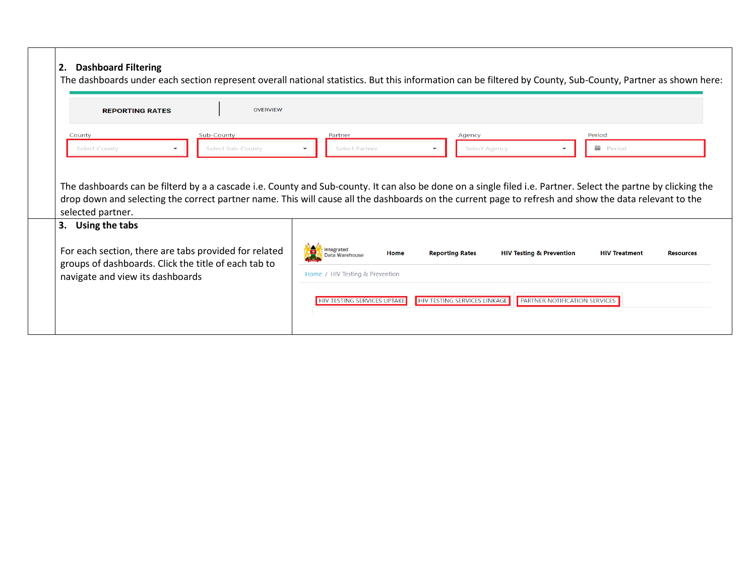# **2. Dashboard Filtering**

For each section, there are tabs provided for related groups of dashboards. Click the title of each tab to

navigate and view its dashboards

| <b>REPORTING RATES</b>              | <b>OVERVIEW</b>                        |                                                              | The dashboards under each section represent overall national statistics. But this information can be filtered by County, Sub-County, Partner as shown here:                                                                                                                                                             |                       |  |
|-------------------------------------|----------------------------------------|--------------------------------------------------------------|-------------------------------------------------------------------------------------------------------------------------------------------------------------------------------------------------------------------------------------------------------------------------------------------------------------------------|-----------------------|--|
| County<br><b>Select County</b>      | Sub-County<br><b>Select Sub-County</b> | Partner<br><b>Select Partner</b><br>$\overline{\phantom{a}}$ | Agency<br><b>Select Agency</b><br>$\overline{\phantom{a}}$                                                                                                                                                                                                                                                              | Period<br>盖<br>Period |  |
|                                     |                                        |                                                              | The dashboards can be filterd by a a cascade i.e. County and Sub-county. It can also be done on a single filed i.e. Partner. Select the partne by clicking the<br>drop down and selecting the correct partner name. This will cause all the dashboards on the current page to refresh and show the data relevant to the |                       |  |
| selected partner.<br>Using the tabs |                                        |                                                              |                                                                                                                                                                                                                                                                                                                         |                       |  |

Home

**Reporting Rates** 

**HIV TESTING SERVICES LINKAGE** 

**HIV Testing & Prevention** 

**PARTNER NOTIFICATION SERVICES** 

**HIV Treatment** 

**Resources** 

₩

**o**d Integrated<br>All Data Warehouse

Home / HIV Testing & Prevention

**HIV TESTING SERVICES UPTAKE**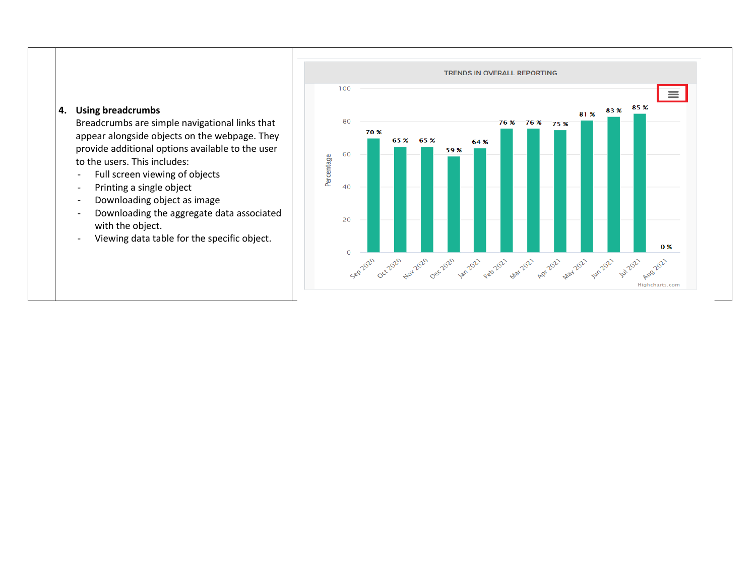

Breadcrumbs are simple navigational links that appear alongside objects on the webpage. They provide additional options available to the user to the users. This includes:

- Full screen viewing of objects
- Printing a single object
- Downloading object as image
- Downloading the aggregate data associated with the object.
- Viewing data table for the specific object.

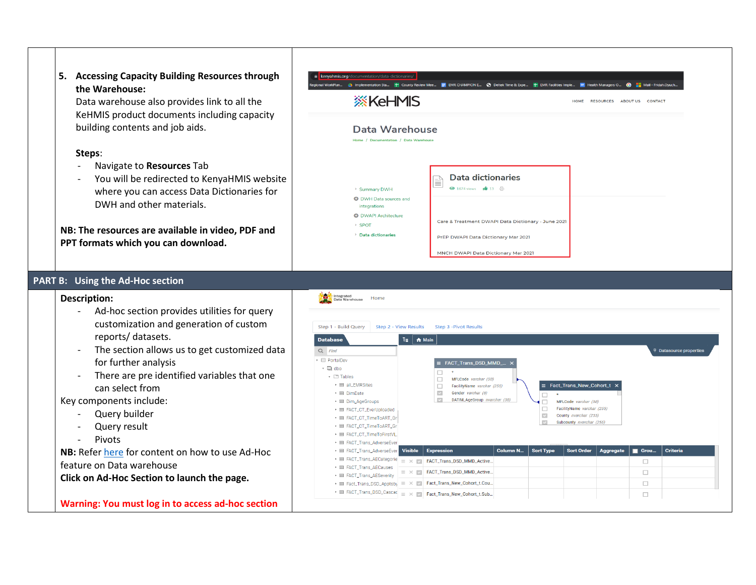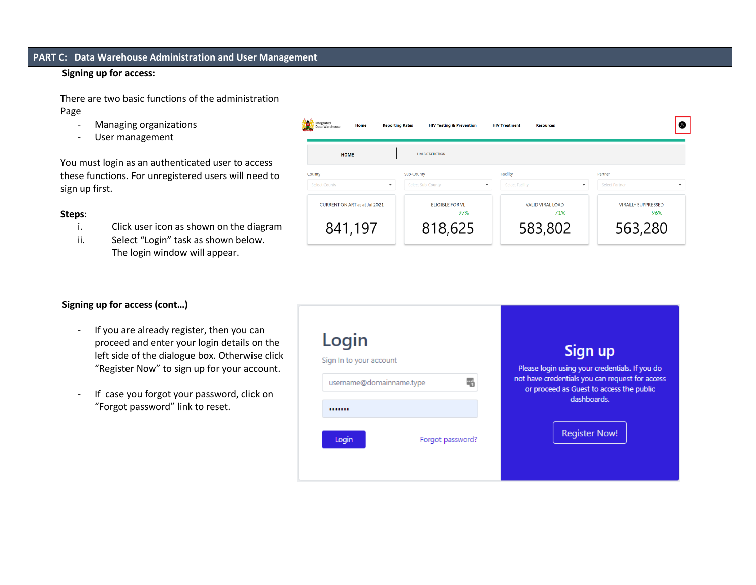| PART C: Data Warehouse Administration and User Management                                                                                                                                                                                                                                                                                                                         |                                                                                                                                                                                                                                                                                                                                                                                                                                                                                                        |
|-----------------------------------------------------------------------------------------------------------------------------------------------------------------------------------------------------------------------------------------------------------------------------------------------------------------------------------------------------------------------------------|--------------------------------------------------------------------------------------------------------------------------------------------------------------------------------------------------------------------------------------------------------------------------------------------------------------------------------------------------------------------------------------------------------------------------------------------------------------------------------------------------------|
| <b>Signing up for access:</b>                                                                                                                                                                                                                                                                                                                                                     |                                                                                                                                                                                                                                                                                                                                                                                                                                                                                                        |
| There are two basic functions of the administration<br>Page<br>Managing organizations<br>User management<br>You must login as an authenticated user to access<br>these functions. For unregistered users will need to<br>sign up first.<br>Steps:<br>Click user icon as shown on the diagram<br>i.<br>Select "Login" task as shown below.<br>ii.<br>The login window will appear. | $\bullet$<br><b>HIV Treatment</b><br><b>Reporting Rates</b><br><b>HIV Testing &amp; Prevention</b><br><b>Resources</b><br>Home<br>ata Warehouse<br><b>HMIS STATISTICS</b><br><b>HOME</b><br>Facility<br>Sub-County<br>County<br>Partner<br>Select Eacility<br>Select County<br>Select Sub-County<br>Select Partner<br>CURRENT ON ART as at Jul 2021<br><b>ELIGIBLE FOR VL</b><br><b>VALID VIRAL LOAD</b><br><b>VIRALLY SUPPRESSED</b><br>97%<br>71%<br>96%<br>841,197<br>818,625<br>583,802<br>563,280 |
| Signing up for access (cont)<br>If you are already register, then you can<br>proceed and enter your login details on the<br>left side of the dialogue box. Otherwise click<br>"Register Now" to sign up for your account.<br>If case you forgot your password, click on<br>"Forgot password" link to reset.                                                                       | Login<br>Sign up<br>Sign In to your account<br>Please login using your credentials. If you do<br>not have credentials you can request for access<br>$\frac{1}{2}$<br>username@domainname.type<br>or proceed as Guest to access the public<br>dashboards.<br><br><b>Register Now!</b><br>Forgot password?<br>Login                                                                                                                                                                                      |